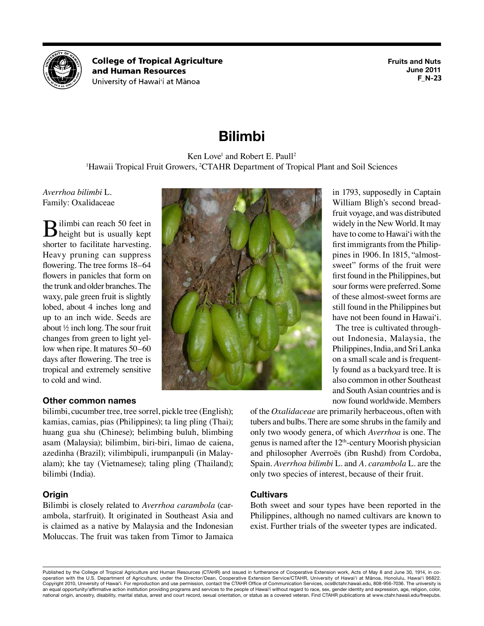

**College of Tropical Agriculture** and Human Resources University of Hawai'i at Mānoa

**Fruits and Nuts June 2011 F\_N-23**

# **Bilimbi**

# Ken Love<sup>1</sup> and Robert E. Paull<sup>2</sup>

<sup>1</sup>Hawaii Tropical Fruit Growers, <sup>2</sup>CTAHR Department of Tropical Plant and Soil Sciences

*Averrhoa bilimbi* L. Family: Oxalidaceae

Bilimbi can reach 50 feet in height but is usually kept shorter to facilitate harvesting. Heavy pruning can suppress flowering. The tree forms 18–64 flowers in panicles that form on the trunk and older branches. The waxy, pale green fruit is slightly lobed, about 4 inches long and up to an inch wide. Seeds are about ½ inch long. The sour fruit changes from green to light yellow when ripe. It matures 50–60 days after flowering. The tree is tropical and extremely sensitive to cold and wind.

# **Other common names**

bilimbi, cucumber tree, tree sorrel, pickle tree (English); kamias, camias, pias (Philippines); ta ling pling (Thai); huang gua shu (Chinese); belimbing buluh, blimbing asam (Malaysia); bilimbim, biri-biri, limao de caiena, azedinha (Brazil); vilimbipuli, irumpanpuli (in Malayalam); khe tay (Vietnamese); taling pling (Thailand); bilimbi (India).

# **Origin**

Bilimbi is closely related to *Averrhoa carambola* (carambola, starfruit). It originated in Southeast Asia and is claimed as a native by Malaysia and the Indonesian Moluccas. The fruit was taken from Timor to Jamaica



in 1793, supposedly in Captain William Bligh's second breadfruit voyage, and was distributed widely in the New World. It may have to come to Hawai'i with the first immigrants from the Philippines in 1906. In 1815, "almostsweet" forms of the fruit were first found in the Philippines, but sour forms were preferred. Some of these almost-sweet forms are still found in the Philippines but have not been found in Hawai'i.

The tree is cultivated throughout Indonesia, Malaysia, the Philippines, India, and Sri Lanka on a small scale and is frequently found as a backyard tree. It is also common in other Southeast and South Asian countries and is now found worldwide. Members

of the *Oxalidaceae* are primarily herbaceous, often with tubers and bulbs. There are some shrubs in the family and only two woody genera, of which *Averrhoa* is one. The genus is named after the 12th-century Moorish physician and philosopher Averroës (ibn Rushd) from Cordoba, Spain. *Averrhoa bilimbi* L. and *A. carambola* L. are the only two species of interest, because of their fruit.

# **Cultivars**

Both sweet and sour types have been reported in the Philippines, although no named cultivars are known to exist. Further trials of the sweeter types are indicated.

Published by the College of Tropical Agriculture and Human Resources (CTAHR) and issued in furtherance of Cooperative Extension work, Acts of May 8 and June 30, 1914, in cooperation with the U.S. Department of Agriculture, under the Director/Dean, Cooperative Extension Service/CTAHR, University of Hawai'i at Mānoa, Honolulu, Hawai'i 96822. Copyright 2010, University of Hawai'i. For reproduction and use permission, contact the CTAHR Office of Communication Services, [ocs@ctahr.hawaii.edu](mailto:ocs@ctahr.hawaii.edu), 808-956-7036. The university is an equal opportunity/affirmative action institution providing programs and services to the people of Hawai'i without regard to race, sex, gender identity and expression, age, religion, color, national origin, ancestry, disability, marital status, arrest and court record, sexual orientation, or status as a covered veteran. Find CTAHR publications at <www.ctahr.hawaii.edu/freepubs>.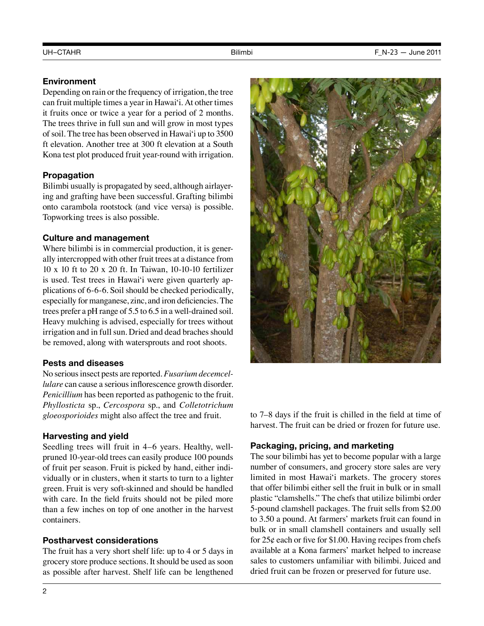# **Environment**

Depending on rain or the frequency of irrigation, the tree can fruit multiple times a year in Hawai'i. At other times it fruits once or twice a year for a period of 2 months. The trees thrive in full sun and will grow in most types of soil. The tree has been observed in Hawai'i up to 3500 ft elevation. Another tree at 300 ft elevation at a South Kona test plot produced fruit year-round with irrigation.

# **Propagation**

Bilimbi usually is propagated by seed, although airlayering and grafting have been successful. Grafting bilimbi onto carambola rootstock (and vice versa) is possible. Topworking trees is also possible.

# **Culture and management**

Where bilimbi is in commercial production, it is generally intercropped with other fruit trees at a distance from 10 x 10 ft to 20 x 20 ft. In Taiwan, 10-10-10 fertilizer is used. Test trees in Hawai'i were given quarterly applications of 6-6-6. Soil should be checked periodically, especially for manganese, zinc, and iron deficiencies. The trees prefer a pH range of 5.5 to 6.5 in a well-drained soil. Heavy mulching is advised, especially for trees without irrigation and in full sun. Dried and dead braches should be removed, along with watersprouts and root shoots.

# **Pests and diseases**

No serious insect pests are reported. *Fusarium decemcellulare* can cause a serious inflorescence growth disorder. *Penicillium* has been reported as pathogenic to the fruit. *Phyllosticta* sp., *Cercospora* sp., and *Colletotrichum gloeosporioides* might also affect the tree and fruit.

### **Harvesting and yield**

Seedling trees will fruit in 4–6 years. Healthy, wellpruned 10-year-old trees can easily produce 100 pounds of fruit per season. Fruit is picked by hand, either individually or in clusters, when it starts to turn to a lighter green. Fruit is very soft-skinned and should be handled with care. In the field fruits should not be piled more than a few inches on top of one another in the harvest containers.

### **Postharvest considerations**

The fruit has a very short shelf life: up to 4 or 5 days in grocery store produce sections. It should be used as soon as possible after harvest. Shelf life can be lengthened



to 7–8 days if the fruit is chilled in the field at time of harvest. The fruit can be dried or frozen for future use.

# **Packaging, pricing, and marketing**

The sour bilimbi has yet to become popular with a large number of consumers, and grocery store sales are very limited in most Hawai'i markets. The grocery stores that offer bilimbi either sell the fruit in bulk or in small plastic "clamshells." The chefs that utilize bilimbi order 5-pound clamshell packages. The fruit sells from \$2.00 to 3.50 a pound. At farmers' markets fruit can found in bulk or in small clamshell containers and usually sell for  $25¢$  each or five for \$1.00. Having recipes from chefs available at a Kona farmers' market helped to increase sales to customers unfamiliar with bilimbi. Juiced and dried fruit can be frozen or preserved for future use.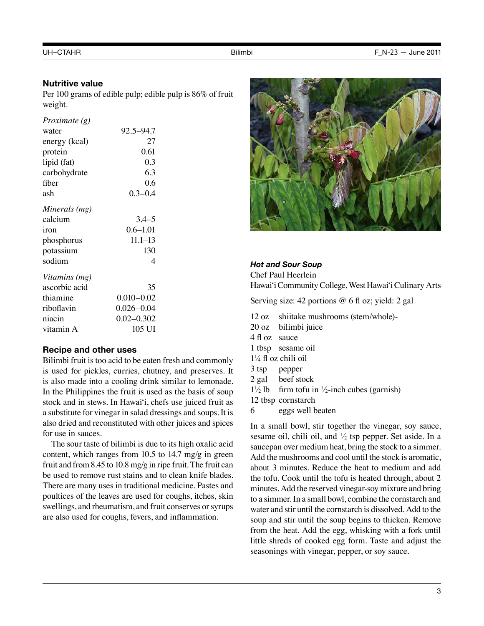#### **Nutritive value**

Per 100 grams of edible pulp; edible pulp is 86% of fruit weight.

| Proximate (g) |                |  |
|---------------|----------------|--|
| water         | 92.5-94.7      |  |
| energy (kcal) | 27             |  |
| protein       | 0.61           |  |
| lipid (fat)   | 0.3            |  |
| carbohydrate  | 6.3            |  |
| fiber         | 0.6            |  |
| ash           | $0.3 - 0.4$    |  |
| Minerals (mg) |                |  |
| calcium       | $3.4 - 5$      |  |
| iron          | $0.6 - 1.01$   |  |
| phosphorus    | $11.1 - 13$    |  |
| potassium     | 130            |  |
| sodium        | 4              |  |
| Vitamins (mg) |                |  |
| ascorbic acid | 35             |  |
| thiamine      | $0.010 - 0.02$ |  |
| riboflavin    | $0.026 - 0.04$ |  |
| niacin        | $0.02 - 0.302$ |  |
| vitamin A     | 105 UI         |  |

#### **Recipe and other uses**

Bilimbi fruit is too acid to be eaten fresh and commonly is used for pickles, curries, chutney, and preserves. It is also made into a cooling drink similar to lemonade. In the Philippines the fruit is used as the basis of soup stock and in stews. In Hawai'i, chefs use juiced fruit as a substitute for vinegar in salad dressings and soups. It is also dried and reconstituted with other juices and spices for use in sauces.

The sour taste of bilimbi is due to its high oxalic acid content, which ranges from 10.5 to 14.7 mg/g in green fruit and from 8.45 to 10.8 mg/g in ripe fruit. The fruit can be used to remove rust stains and to clean knife blades. There are many uses in traditional medicine. Pastes and poultices of the leaves are used for coughs, itches, skin swellings, and rheumatism, and fruit conserves or syrups are also used for coughs, fevers, and inflammation.



#### *Hot and Sour Soup*

Chef Paul Heerlein Hawai'i Community College, West Hawai'i Culinary Arts

Serving size: 42 portions @ 6 fl oz; yield: 2 gal

- 12 oz shiitake mushrooms (stem/whole)-
- 20 oz bilimbi juice
- 4 fl oz sauce
- 1 tbsp sesame oil
- $1\frac{1}{4}$  fl oz chili oil
- 3 tsp pepper
- 2 gal beef stock
- $1\frac{1}{2}$  lb firm tofu in  $\frac{1}{2}$ -inch cubes (garnish)
- 12 tbsp cornstarch
- 6 eggs well beaten

In a small bowl, stir together the vinegar, soy sauce, sesame oil, chili oil, and  $\frac{1}{2}$  tsp pepper. Set aside. In a saucepan over medium heat, bring the stock to a simmer. Add the mushrooms and cool until the stock is aromatic, about 3 minutes. Reduce the heat to medium and add the tofu. Cook until the tofu is heated through, about 2 minutes. Add the reserved vinegar-soy mixture and bring to a simmer. In a small bowl, combine the cornstarch and water and stir until the cornstarch is dissolved. Add to the soup and stir until the soup begins to thicken. Remove from the heat. Add the egg, whisking with a fork until little shreds of cooked egg form. Taste and adjust the seasonings with vinegar, pepper, or soy sauce.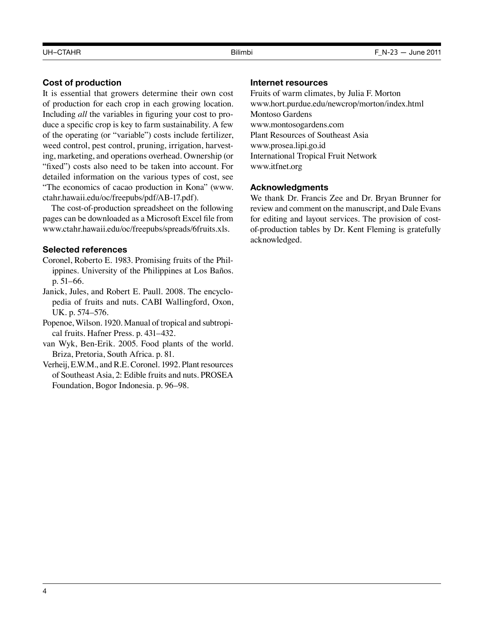# **Cost of production**

It is essential that growers determine their own cost of production for each crop in each growing location. Including *all* the variables in figuring your cost to produce a specific crop is key to farm sustainability. A few of the operating (or "variable") costs include fertilizer, weed control, pest control, pruning, irrigation, harvesting, marketing, and operations overhead. Ownership (or "fixed") costs also need to be taken into account. For detailed information on the various types of cost, see "The economics of cacao production in Kona" [\(www.](www.ctahr.hawaii.edu/oc/freepubs/pdf/AB-17.pdf) [ctahr.hawaii.edu/oc/freepubs/pdf/AB-17.pdf](www.ctahr.hawaii.edu/oc/freepubs/pdf/AB-17.pdf)).

The cost-of-production spreadsheet on the following pages can be downloaded as a Microsoft Excel file from [www.ctahr.hawaii.edu/oc/freepubs/spreads/6fruits.xls.](www.ctahr.hawaii.edu/oc/freepubs/spreads/6fruits.xls)

# **Selected references**

- Coronel, Roberto E. 1983. Promising fruits of the Philippines. University of the Philippines at Los Baños. p. 51–66.
- Janick, Jules, and Robert E. Paull. 2008. The encyclopedia of fruits and nuts. CABI Wallingford, Oxon, UK. p. 574–576.
- Popenoe, Wilson. 1920. Manual of tropical and subtropical fruits. Hafner Press. p. 431–432.
- van Wyk, Ben-Erik. 2005. Food plants of the world. Briza, Pretoria, South Africa. p. 81.
- Verheij, E.W.M., and R.E. Coronel. 1992. Plant resources of Southeast Asia, 2: Edible fruits and nuts. PROSEA Foundation, Bogor Indonesia. p. 96–98.

#### **Internet resources**

Fruits of warm climates, by Julia F. Morton <www.hort.purdue.edu/newcrop/morton/index.html> Montoso Gardens <www.montosogardens.com> Plant Resources of Southeast Asia <www.prosea.lipi.go.id> International Tropical Fruit Network <www.itfnet.org>

### **Acknowledgments**

We thank Dr. Francis Zee and Dr. Bryan Brunner for review and comment on the manuscript, and Dale Evans for editing and layout services. The provision of costof-production tables by Dr. Kent Fleming is gratefully acknowledged.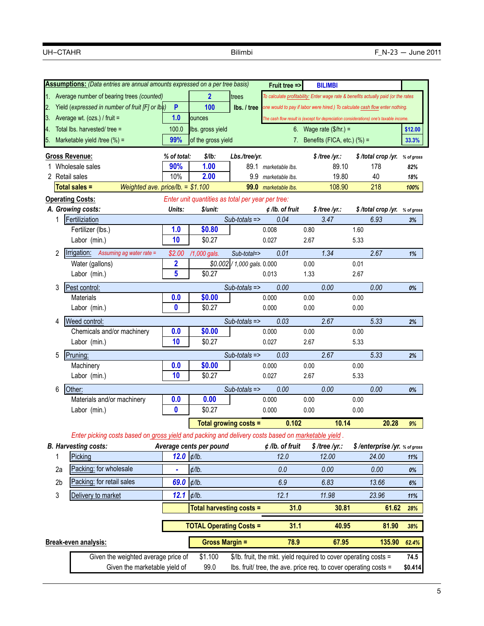|    |                                                                                                                    | Assumptions: (Data entries are annual amounts expressed on a per tree basis)                       |              |                                                   |                                             | Fruit tree =>                | <b>BILIMBI</b>                                                                         |              |                              |                  |
|----|--------------------------------------------------------------------------------------------------------------------|----------------------------------------------------------------------------------------------------|--------------|---------------------------------------------------|---------------------------------------------|------------------------------|----------------------------------------------------------------------------------------|--------------|------------------------------|------------------|
|    |                                                                                                                    | 1. Average number of bearing trees (counted)                                                       |              | $\mathbf{2}$                                      | trees                                       |                              | To calculate profitability: Enter wage rate & benefits actually paid (or the rates     |              |                              |                  |
|    |                                                                                                                    | Yield (expressed in number of fruit [F] or lbs)                                                    | P            | 100                                               | lbs. / tree                                 |                              | one would to pay if labor were hired.) To calculate cash flow enter nothing.           |              |                              |                  |
|    |                                                                                                                    | Average wt. (ozs.) / fruit =                                                                       | 1.0          | ounces                                            |                                             |                              | The cash flow result is (except for depreciation considerations) one's taxable income. |              |                              |                  |
| 4. |                                                                                                                    | Total Ibs. harvested/ tree =                                                                       | 100.0        | lbs. gross yield                                  |                                             |                              | 6. Wage rate $(\$/hr.) =$                                                              |              |                              | \$12.00          |
| 5. |                                                                                                                    | Marketable yield /tree $(\%)$ =                                                                    | 99%          | of the gross yield                                |                                             |                              | 7. Benefits (FICA, etc.) $(\%) =$                                                      |              |                              | 33.3%            |
|    |                                                                                                                    |                                                                                                    |              |                                                   |                                             |                              |                                                                                        |              |                              |                  |
|    |                                                                                                                    | <b>Gross Revenue:</b>                                                                              | % of total:  | \$/lb:                                            | Lbs./tree/yr.                               |                              | \$/tree/yr.:                                                                           |              | \$/total crop/yr.            | % of gross       |
|    |                                                                                                                    | 1 Wholesale sales                                                                                  | 90%          | 1.00                                              |                                             | 89.1 marketable lbs.         |                                                                                        | 89.10        | 178                          | 82%              |
|    |                                                                                                                    | 2 Retail sales<br>Weighted ave. price/lb. = $$1.100$                                               | 10%          | 2.00                                              | 9.9                                         | marketable lbs.              | 108.90                                                                                 | 19.80        | 40<br>218                    | 18%              |
|    |                                                                                                                    | <b>Total sales =</b>                                                                               |              |                                                   | 99.0                                        | marketable lbs.              |                                                                                        |              |                              | 100%             |
|    |                                                                                                                    | <b>Operating Costs:</b>                                                                            |              | Enter unit quantities as total per year per tree: |                                             |                              |                                                                                        |              |                              |                  |
|    | 1                                                                                                                  | A. Growing costs:<br>Fertiliziation                                                                | Units:       | \$/unit:                                          | Sub-totals =>                               | $\phi$ /lb. of fruit<br>0.04 | $$$ /tree /yr.:<br>3.47                                                                |              | \$/total crop/yr.<br>6.93    | % of gross<br>3% |
|    |                                                                                                                    | Fertilizer (lbs.)                                                                                  | 1.0          | \$0.80                                            |                                             | 0.008                        | 0.80                                                                                   | 1.60         |                              |                  |
|    |                                                                                                                    | Labor (min.)                                                                                       | 10           | \$0.27                                            |                                             | 0.027                        | 2.67                                                                                   | 5.33         |                              |                  |
|    |                                                                                                                    |                                                                                                    |              |                                                   |                                             |                              |                                                                                        |              |                              |                  |
|    | 2                                                                                                                  | Irrigation:<br>Assuming ag water rate =                                                            | \$2.00       | /1,000 gals.                                      | Sub-total=><br>$$0.002$ / 1,000 gals. 0.000 | 0.01                         | 1.34                                                                                   |              | 2.67                         | 1%               |
|    |                                                                                                                    | Water (gallons)                                                                                    | 2<br>5       | \$0.27                                            |                                             | 0.013                        | 0.00<br>1.33                                                                           | 0.01<br>2.67 |                              |                  |
|    |                                                                                                                    | Labor (min.)                                                                                       |              |                                                   |                                             |                              |                                                                                        |              |                              |                  |
|    | 3                                                                                                                  | Pest control:                                                                                      |              |                                                   | $Sub-totals =$                              | 0.00                         | 0.00                                                                                   |              | 0.00                         | 0%               |
|    |                                                                                                                    | <b>Materials</b>                                                                                   | 0.0          | \$0.00                                            |                                             | 0.000                        | 0.00                                                                                   | 0.00         |                              |                  |
|    |                                                                                                                    | Labor (min.)                                                                                       | $\mathbf{0}$ | \$0.27                                            |                                             | 0.000                        | 0.00                                                                                   | 0.00         |                              |                  |
|    | 4                                                                                                                  | Weed control:                                                                                      |              |                                                   | $Sub-totals =$                              | 0.03                         | 2.67                                                                                   |              | 5.33                         | 2%               |
|    |                                                                                                                    | Chemicals and/or machinery                                                                         | 0.0          | \$0.00                                            |                                             | 0.000                        | 0.00                                                                                   | 0.00         |                              |                  |
|    |                                                                                                                    | Labor (min.)                                                                                       | 10           | \$0.27                                            |                                             | 0.027                        | 2.67                                                                                   | 5.33         |                              |                  |
|    | 5                                                                                                                  | Pruning:                                                                                           |              |                                                   | Sub-totals =>                               | 0.03                         | 2.67                                                                                   |              | 5.33                         | 2%               |
|    |                                                                                                                    | Machinery                                                                                          | 0.0          | \$0.00                                            |                                             | 0.000                        | 0.00                                                                                   | 0.00         |                              |                  |
|    |                                                                                                                    | Labor (min.)                                                                                       | 10           | \$0.27                                            |                                             | 0.027                        | 2.67                                                                                   | 5.33         |                              |                  |
|    | 6                                                                                                                  | Other:                                                                                             |              |                                                   | $Sub-totals =$                              | 0.00                         | 0.00                                                                                   |              | 0.00                         | 0%               |
|    |                                                                                                                    | Materials and/or machinery                                                                         | 0.0          | 0.00                                              |                                             | 0.000                        | 0.00                                                                                   | 0.00         |                              |                  |
|    |                                                                                                                    | Labor (min.)                                                                                       | 0            | \$0.27                                            |                                             | 0.000                        | 0.00                                                                                   | 0.00         |                              |                  |
|    |                                                                                                                    |                                                                                                    |              |                                                   | Total growing costs =                       | 0.102                        |                                                                                        | 10.14        | 20.28                        | 9%               |
|    |                                                                                                                    | Enter picking costs based on gross yield and packing and delivery costs based on marketable yield. |              |                                                   |                                             |                              |                                                                                        |              |                              |                  |
|    |                                                                                                                    | <b>B. Harvesting costs:</b>                                                                        |              | Average cents per pound                           |                                             | ¢ /lb. of fruit              | $$$ /tree /yr.:                                                                        |              | \$/enterprise/yr. % of gross |                  |
|    | 1                                                                                                                  | Picking                                                                                            | 12.0         | $\phi$ /lb.                                       |                                             | 12.0                         | 12.00                                                                                  |              | 24.00                        | 11%              |
|    | 2a                                                                                                                 | Packing: for wholesale                                                                             | ä,           | $\phi$ /lb.                                       |                                             | 0.0                          | 0.00                                                                                   |              | 0.00                         | 0%               |
|    | 2b                                                                                                                 | Packing: for retail sales                                                                          | 69.0         | $\phi$ /lb.                                       |                                             | 6.9                          | 6.83                                                                                   |              | 13.66                        | 6%               |
|    |                                                                                                                    |                                                                                                    |              |                                                   |                                             |                              |                                                                                        |              |                              |                  |
|    | 3                                                                                                                  | Delivery to market                                                                                 | 12.1         | $\phi$ /lb.                                       |                                             | 12.1                         | 11.98                                                                                  |              | 23.96                        | 11%              |
|    |                                                                                                                    |                                                                                                    |              | <b>Total harvesting costs =</b>                   |                                             | 31.0                         |                                                                                        | 30.81        | 61.62                        | 28%              |
|    |                                                                                                                    |                                                                                                    |              | <b>TOTAL Operating Costs =</b>                    |                                             | 31.1                         |                                                                                        | 40.95        | 81.90                        | 38%              |
|    |                                                                                                                    | Break-even analysis:                                                                               |              | <b>Gross Margin =</b>                             |                                             | 78.9                         |                                                                                        | 67.95        | 135.90                       | 62.4%            |
|    | Given the weighted average price of<br>\$1.100<br>\$/lb. fruit, the mkt. yield required to cover operating costs = |                                                                                                    |              |                                                   |                                             |                              |                                                                                        |              | 74.5                         |                  |
|    | Given the marketable yield of<br>99.0<br>lbs. fruit/ tree, the ave. price req. to cover operating costs =          |                                                                                                    |              |                                                   |                                             |                              |                                                                                        | \$0.414      |                              |                  |